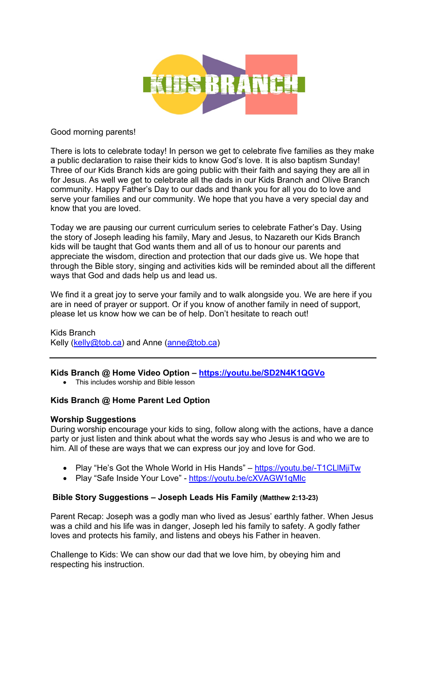

### Good morning parents!

There is lots to celebrate today! In person we get to celebrate five families as they make a public declaration to raise their kids to know God's love. It is also baptism Sunday! Three of our Kids Branch kids are going public with their faith and saying they are all in for Jesus. As well we get to celebrate all the dads in our Kids Branch and Olive Branch community. Happy Father's Day to our dads and thank you for all you do to love and serve your families and our community. We hope that you have a very special day and know that you are loved.

Today we are pausing our current curriculum series to celebrate Father's Day. Using the story of Joseph leading his family, Mary and Jesus, to Nazareth our Kids Branch kids will be taught that God wants them and all of us to honour our parents and appreciate the wisdom, direction and protection that our dads give us. We hope that through the Bible story, singing and activities kids will be reminded about all the different ways that God and dads help us and lead us.

We find it a great joy to serve your family and to walk alongside you. We are here if you are in need of prayer or support. Or if you know of another family in need of support, please let us know how we can be of help. Don't hesitate to reach out!

Kids Branch Kelly (kelly@tob.ca) and Anne (anne@tob.ca)

# **Kids Branch @ Home Video Option – https://youtu.be/SD2N4K1QGVo**

• This includes worship and Bible lesson

# **Kids Branch @ Home Parent Led Option**

#### **Worship Suggestions**

During worship encourage your kids to sing, follow along with the actions, have a dance party or just listen and think about what the words say who Jesus is and who we are to him. All of these are ways that we can express our joy and love for God.

- Play "He's Got the Whole World in His Hands" https://youtu.be/-T1CLIMjiTw
- Play "Safe Inside Your Love" https://youtu.be/cXVAGW1qMlc

### **Bible Story Suggestions – Joseph Leads His Family (Matthew 2:13-23)**

Parent Recap: Joseph was a godly man who lived as Jesus' earthly father. When Jesus was a child and his life was in danger, Joseph led his family to safety. A godly father loves and protects his family, and listens and obeys his Father in heaven.

Challenge to Kids: We can show our dad that we love him, by obeying him and respecting his instruction.